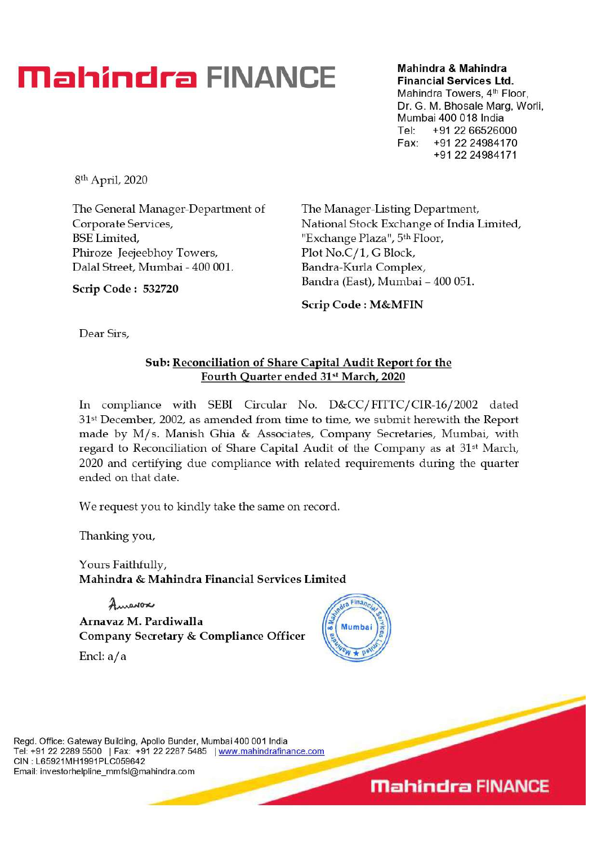# **Mahindra FINANCE Mahindra & Mahindra**

**Financial Services Ltd.** 

Mahindra Towers, 4<sup>th</sup> Floor, Dr. G. M. Bhosale Marg, Worli. Mumbai 400 018 India Tel: +91 22 66526000 Fax: +91 22 24984170 +91 22 24984171

8th April, 2020

The General Manager-Department of Corporate Services, BSE Limited, Phiroze Jeejeebhoy Towers, Dalai Street, Mumbai - 400 001.

The Manager-Listing Department, National Stock Exchange of India Limited, "Exchange Plaza", 5th Floor, Plot No.C/1, G Block, Bandra-Kurla Complex, Bandra (East), Mumbai - 400 051.

**Scrip Code : M&MFIN** 

**Dear Sirs,** 

**Scrip Code : 532720** 

### **Sub: Reconciliation of Share Capital Audit Report for the Fourth Quarter ended 31st March, 2020**

In compliance with SEBI Circular No. D&CC/ FITTC/ CIR-16/ 2002 dated 31st December, 2002, as amended from time to time, we submit herewith the Report made by M/s. Manish Ghia & Associates, Company Secretaries, Mumbai, with regard to Reconciliation of Share Capital Audit of the Company as at 31st March, 2020 and certifying due compliance with related requirements during the quarter ended on that date.

We request you to kindly take the same on record.

Thanking you,

Yours Faithfully, **Mahindra & Mahindra Financial Services Limited** 

Amarox **Arnavaz M. Pardiwalla Company Secretary & Compliance Officer** 

Encl:  $a/a$ 



Regd. Office: Gateway Building, Apollo Bunder, Mumbai 400 001 India Tel: +91 22 2289 5500 | Fax: +91 22 2287 5485 | www.mahindrafinance.com CIN : L65921MH1991PLC059642 Email: investorhelpline\_mmfsl@mahindra.com

**Mahindra FINANCE**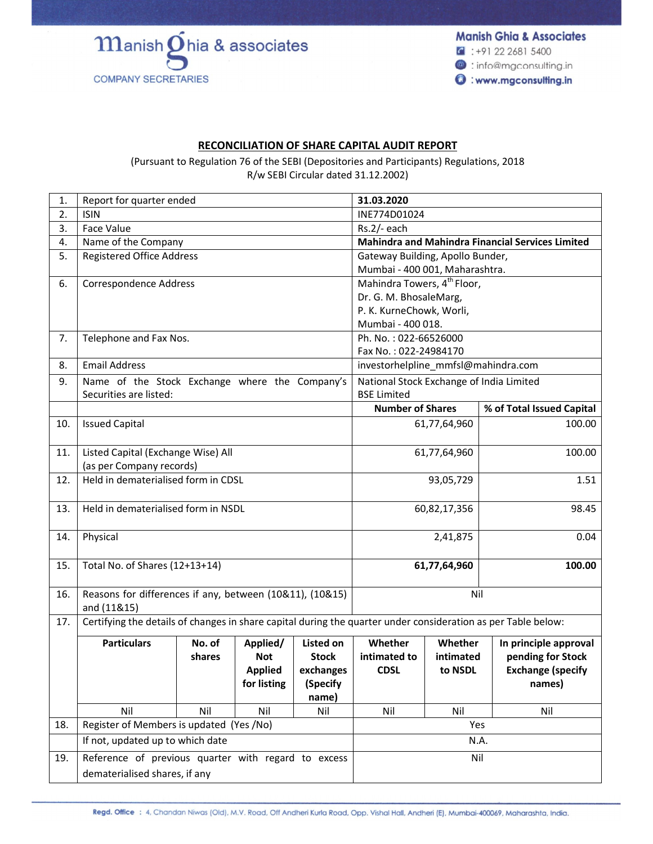$\mathbf m$ anish $\mathbf 0$ hia & associates **COMPANY SECRETARIES** 

**Manish Ghia & Associates**  $\binom{2}{1}$ : +91 22 2681 5400 <sup>@</sup> : info@mgconsulting.in **O**: www.mgconsulting.in

#### **RECONCILIATION OF SHARE CAPITAL AUDIT REPORT**

(Pursuant to Regulation 76 of the SEBI (Depositories and Participants) Regulations, 2018 R/w SEBI Circular dated 31.12.2002)

| 1.  | Report for quarter ended                                                 |        |                |                  | 31.03.2020                                                                                                    |              |                           |  |
|-----|--------------------------------------------------------------------------|--------|----------------|------------------|---------------------------------------------------------------------------------------------------------------|--------------|---------------------------|--|
| 2.  | <b>ISIN</b>                                                              |        |                |                  | INE774D01024                                                                                                  |              |                           |  |
| 3.  | Face Value                                                               |        |                |                  | Rs.2/- each                                                                                                   |              |                           |  |
| 4.  | Name of the Company                                                      |        |                |                  | <b>Mahindra and Mahindra Financial Services Limited</b>                                                       |              |                           |  |
| 5.  | <b>Registered Office Address</b>                                         |        |                |                  | Gateway Building, Apollo Bunder,                                                                              |              |                           |  |
|     |                                                                          |        |                |                  | Mumbai - 400 001, Maharashtra.                                                                                |              |                           |  |
| 6.  | Correspondence Address                                                   |        |                |                  | Mahindra Towers, 4 <sup>th</sup> Floor,                                                                       |              |                           |  |
|     |                                                                          |        |                |                  | Dr. G. M. BhosaleMarg,                                                                                        |              |                           |  |
|     |                                                                          |        |                |                  | P. K. KurneChowk, Worli,                                                                                      |              |                           |  |
|     |                                                                          |        |                |                  | Mumbai - 400 018.                                                                                             |              |                           |  |
| 7.  | Telephone and Fax Nos.                                                   |        |                |                  | Ph. No.: 022-66526000                                                                                         |              |                           |  |
|     |                                                                          |        |                |                  | Fax No.: 022-24984170                                                                                         |              |                           |  |
| 8.  | <b>Email Address</b>                                                     |        |                |                  | investorhelpline_mmfsl@mahindra.com                                                                           |              |                           |  |
| 9.  | Name of the Stock Exchange where the Company's<br>Securities are listed: |        |                |                  | National Stock Exchange of India Limited<br><b>BSE Limited</b>                                                |              |                           |  |
|     |                                                                          |        |                |                  | <b>Number of Shares</b>                                                                                       |              | % of Total Issued Capital |  |
| 10. | <b>Issued Capital</b>                                                    |        |                |                  |                                                                                                               | 61,77,64,960 | 100.00                    |  |
|     |                                                                          |        |                |                  |                                                                                                               |              |                           |  |
| 11. | Listed Capital (Exchange Wise) All                                       |        |                |                  | 61,77,64,960                                                                                                  |              | 100.00                    |  |
|     | (as per Company records)                                                 |        |                |                  |                                                                                                               |              |                           |  |
| 12. | Held in dematerialised form in CDSL                                      |        |                | 93,05,729        |                                                                                                               | 1.51         |                           |  |
| 13. | Held in dematerialised form in NSDL                                      |        |                |                  | 60,82,17,356                                                                                                  |              | 98.45                     |  |
|     |                                                                          |        |                |                  |                                                                                                               |              |                           |  |
| 14. | Physical                                                                 |        |                |                  |                                                                                                               | 2,41,875     | 0.04                      |  |
|     |                                                                          |        |                |                  |                                                                                                               |              |                           |  |
| 15. | Total No. of Shares (12+13+14)                                           |        |                |                  |                                                                                                               | 61,77,64,960 | 100.00                    |  |
| 16. | Reasons for differences if any, between (10&11), (10&15)                 |        |                |                  | Nil                                                                                                           |              |                           |  |
|     | and (11&15)                                                              |        |                |                  |                                                                                                               |              |                           |  |
| 17. |                                                                          |        |                |                  | Certifying the details of changes in share capital during the quarter under consideration as per Table below: |              |                           |  |
|     | <b>Particulars</b>                                                       | No. of | Applied/       | <b>Listed on</b> | Whether                                                                                                       | Whether      | In principle approval     |  |
|     |                                                                          | shares | <b>Not</b>     | <b>Stock</b>     | intimated to                                                                                                  | intimated    | pending for Stock         |  |
|     |                                                                          |        | <b>Applied</b> | exchanges        | <b>CDSL</b>                                                                                                   | to NSDL      | <b>Exchange (specify</b>  |  |
|     |                                                                          |        | for listing    | (Specify         |                                                                                                               |              | names)                    |  |
|     |                                                                          |        |                | name)            |                                                                                                               |              |                           |  |
|     | Nil                                                                      | Nil    | Nil            | Nil              | Nil                                                                                                           | Nil          | Nil                       |  |
| 18. | Register of Members is updated (Yes /No)                                 |        | Yes            |                  |                                                                                                               |              |                           |  |
|     | If not, updated up to which date                                         |        |                |                  | N.A.                                                                                                          |              |                           |  |
| 19. | Reference of previous quarter with regard to excess                      |        |                |                  | Nil                                                                                                           |              |                           |  |
|     | dematerialised shares, if any                                            |        |                |                  |                                                                                                               |              |                           |  |